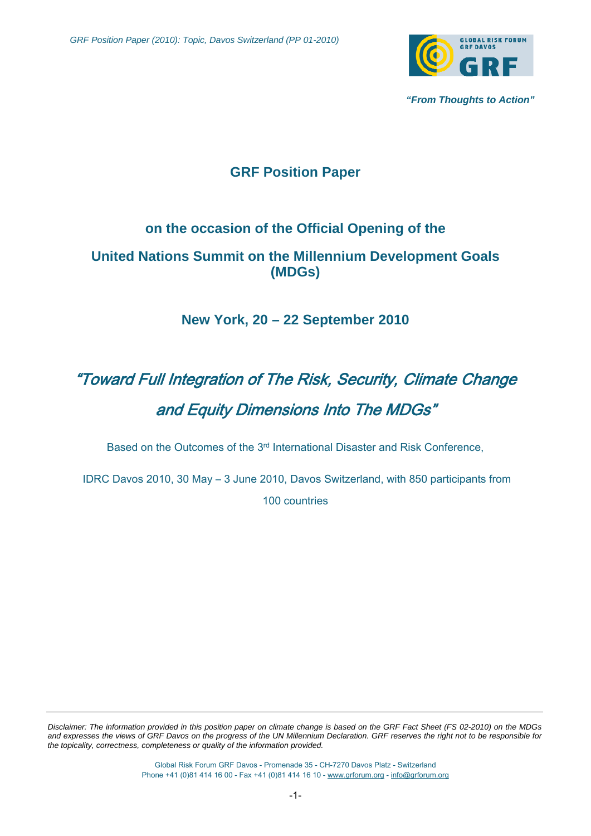

 *"From Thoughts to Action"* 

# **GRF Position Paper**

### **on the occasion of the Official Opening of the**

## **United Nations Summit on the Millennium Development Goals (MDGs)**

## **New York, 20 – 22 September 2010**

# "Toward Full Integration of The Risk, Security, Climate Change and Equity Dimensions Into The MDGs"

Based on the Outcomes of the 3rd International Disaster and Risk Conference,

 IDRC Davos 2010, 30 May – 3 June 2010, Davos Switzerland, with 850 participants from 100 countries

*Disclaimer: The information provided in this position paper on climate change is based on the GRF Fact Sheet (FS 02-2010) on the MDGs and expresses the views of GRF Davos on the progress of the UN Millennium Declaration. GRF reserves the right not to be responsible for the topicality, correctness, completeness or quality of the information provided.* 

> Global Risk Forum GRF Davos - Promenade 35 - CH-7270 Davos Platz - Switzerland Phone +41 (0)81 414 16 00 - Fax +41 (0)81 414 16 10 - www.grforum.org - info@grforum.org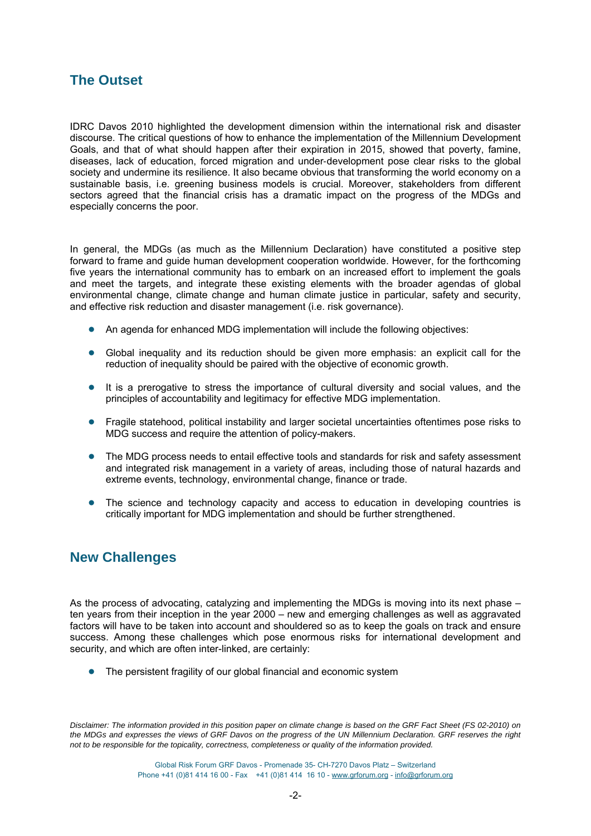## **The Outset**

IDRC Davos 2010 highlighted the development dimension within the international risk and disaster discourse. The critical questions of how to enhance the implementation of the Millennium Development Goals, and that of what should happen after their expiration in 2015, showed that poverty, famine, diseases, lack of education, forced migration and under‐development pose clear risks to the global society and undermine its resilience. It also became obvious that transforming the world economy on a sustainable basis, i.e. greening business models is crucial. Moreover, stakeholders from different sectors agreed that the financial crisis has a dramatic impact on the progress of the MDGs and especially concerns the poor.

In general, the MDGs (as much as the Millennium Declaration) have constituted a positive step forward to frame and guide human development cooperation worldwide. However, for the forthcoming five years the international community has to embark on an increased effort to implement the goals and meet the targets, and integrate these existing elements with the broader agendas of global environmental change, climate change and human climate justice in particular, safety and security, and effective risk reduction and disaster management (i.e. risk governance).

- An agenda for enhanced MDG implementation will include the following objectives:
- Global inequality and its reduction should be given more emphasis: an explicit call for the reduction of inequality should be paired with the objective of economic growth.
- It is a prerogative to stress the importance of cultural diversity and social values, and the principles of accountability and legitimacy for effective MDG implementation.
- Fragile statehood, political instability and larger societal uncertainties oftentimes pose risks to MDG success and require the attention of policy-makers.
- The MDG process needs to entail effective tools and standards for risk and safety assessment and integrated risk management in a variety of areas, including those of natural hazards and extreme events, technology, environmental change, finance or trade.
- The science and technology capacity and access to education in developing countries is critically important for MDG implementation and should be further strengthened.

### **New Challenges**

As the process of advocating, catalyzing and implementing the MDGs is moving into its next phase – ten years from their inception in the year 2000 – new and emerging challenges as well as aggravated factors will have to be taken into account and shouldered so as to keep the goals on track and ensure success. Among these challenges which pose enormous risks for international development and security, and which are often inter-linked, are certainly:

● The persistent fragility of our global financial and economic system

*Disclaimer: The information provided in this position paper on climate change is based on the GRF Fact Sheet (FS 02-2010) on the MDGs and expresses the views of GRF Davos on the progress of the UN Millennium Declaration. GRF reserves the right not to be responsible for the topicality, correctness, completeness or quality of the information provided.*